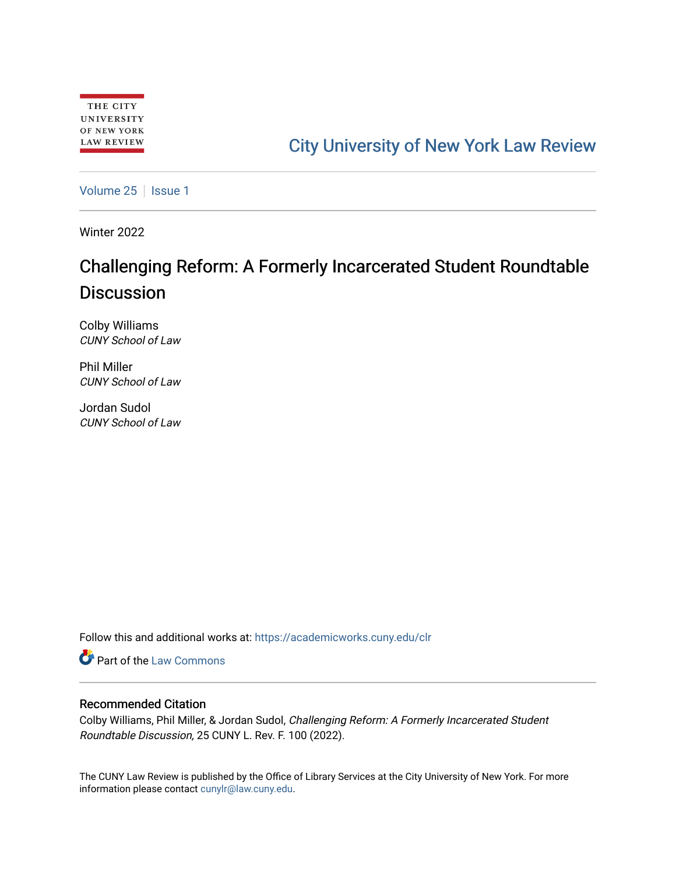## [City University of New York Law Review](https://academicworks.cuny.edu/clr)

[Volume 25](https://academicworks.cuny.edu/clr/vol25) | [Issue 1](https://academicworks.cuny.edu/clr/vol25/iss1)

Winter 2022

## Challenging Reform: A Formerly Incarcerated Student Roundtable **Discussion**

Colby Williams CUNY School of Law

Phil Miller CUNY School of Law

Jordan Sudol CUNY School of Law

Follow this and additional works at: [https://academicworks.cuny.edu/clr](https://academicworks.cuny.edu/clr?utm_source=academicworks.cuny.edu%2Fclr%2Fvol25%2Fiss1%2F17&utm_medium=PDF&utm_campaign=PDFCoverPages) 

**Part of the [Law Commons](http://network.bepress.com/hgg/discipline/578?utm_source=academicworks.cuny.edu%2Fclr%2Fvol25%2Fiss1%2F17&utm_medium=PDF&utm_campaign=PDFCoverPages)** 

## Recommended Citation

Colby Williams, Phil Miller, & Jordan Sudol, Challenging Reform: A Formerly Incarcerated Student Roundtable Discussion, 25 CUNY L. Rev. F. 100 (2022).

The CUNY Law Review is published by the Office of Library Services at the City University of New York. For more information please contact [cunylr@law.cuny.edu](mailto:cunylr@law.cuny.edu).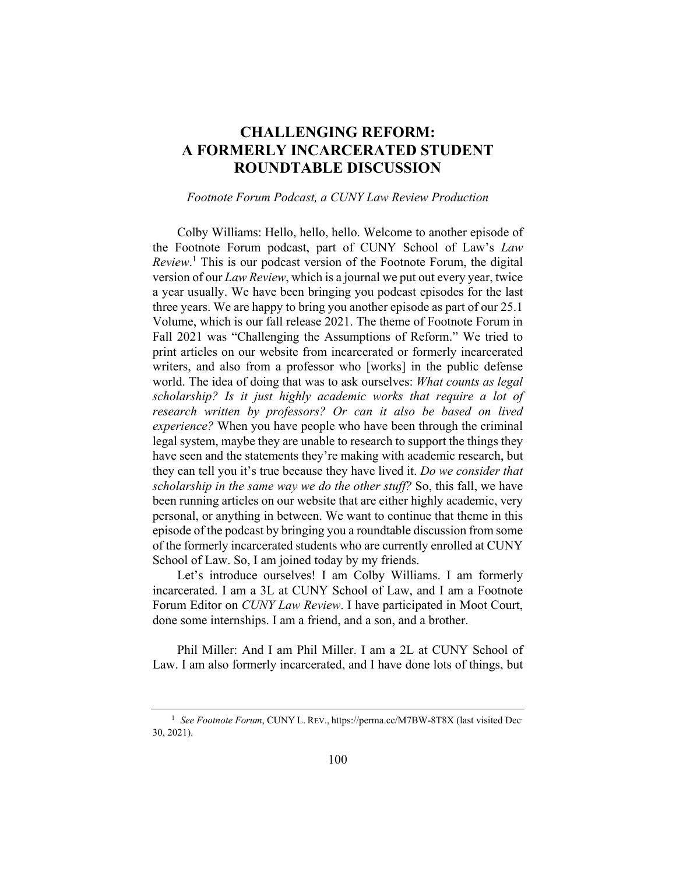## **CHALLENGING REFORM: A FORMERLY INCARCERATED STUDENT ROUNDTABLE DISCUSSION**

*Footnote Forum Podcast, a CUNY Law Review Production* 

Colby Williams: Hello, hello, hello. Welcome to another episode of the Footnote Forum podcast, part of CUNY School of Law's *Law Review*. 1 This is our podcast version of the Footnote Forum, the digital version of our *Law Review*, which is a journal we put out every year, twice a year usually. We have been bringing you podcast episodes for the last three years. We are happy to bring you another episode as part of our 25.1 Volume, which is our fall release 2021. The theme of Footnote Forum in Fall 2021 was "Challenging the Assumptions of Reform." We tried to print articles on our website from incarcerated or formerly incarcerated writers, and also from a professor who [works] in the public defense world. The idea of doing that was to ask ourselves: *What counts as legal scholarship? Is it just highly academic works that require a lot of research written by professors? Or can it also be based on lived experience?* When you have people who have been through the criminal legal system, maybe they are unable to research to support the things they have seen and the statements they're making with academic research, but they can tell you it's true because they have lived it. *Do we consider that scholarship in the same way we do the other stuff?* So, this fall, we have been running articles on our website that are either highly academic, very personal, or anything in between. We want to continue that theme in this episode of the podcast by bringing you a roundtable discussion from some of the formerly incarcerated students who are currently enrolled at CUNY School of Law. So, I am joined today by my friends.

Let's introduce ourselves! I am Colby Williams. I am formerly incarcerated. I am a 3L at CUNY School of Law, and I am a Footnote Forum Editor on *CUNY Law Review*. I have participated in Moot Court, done some internships. I am a friend, and a son, and a brother.

Phil Miller: And I am Phil Miller. I am a 2L at CUNY School of Law. I am also formerly incarcerated, and I have done lots of things, but

<sup>&</sup>lt;sup>1</sup> See Footnote Forum, CUNY L. REV., https://perma.cc/M7BW-8T8X (last visited Dec-30, 2021).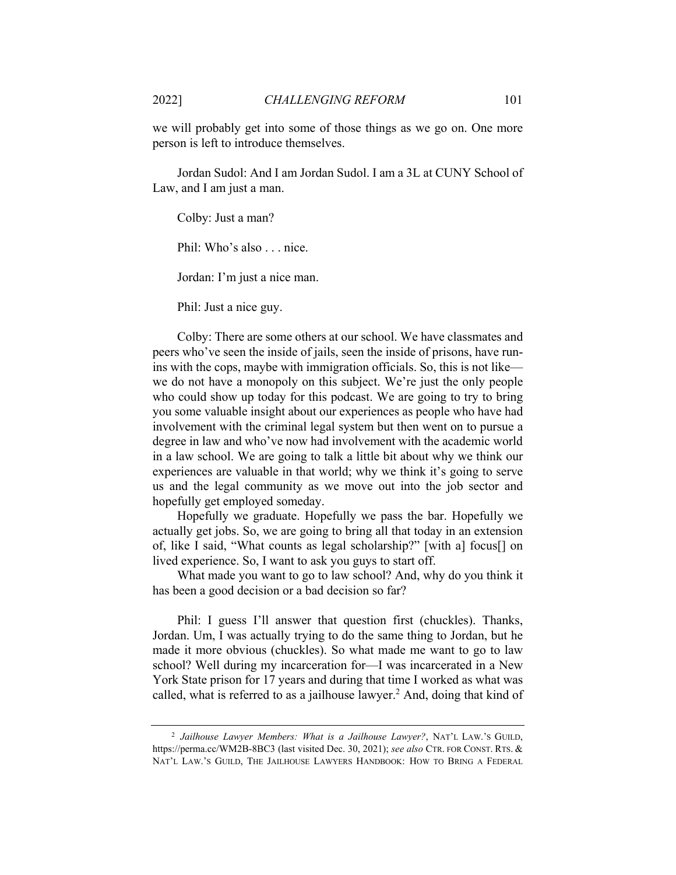we will probably get into some of those things as we go on. One more person is left to introduce themselves.

Jordan Sudol: And I am Jordan Sudol. I am a 3L at CUNY School of Law, and I am just a man.

Colby: Just a man?

Phil: Who's also . . . nice.

Jordan: I'm just a nice man.

Phil: Just a nice guy.

Colby: There are some others at our school. We have classmates and peers who've seen the inside of jails, seen the inside of prisons, have runins with the cops, maybe with immigration officials. So, this is not like we do not have a monopoly on this subject. We're just the only people who could show up today for this podcast. We are going to try to bring you some valuable insight about our experiences as people who have had involvement with the criminal legal system but then went on to pursue a degree in law and who've now had involvement with the academic world in a law school. We are going to talk a little bit about why we think our experiences are valuable in that world; why we think it's going to serve us and the legal community as we move out into the job sector and hopefully get employed someday.

Hopefully we graduate. Hopefully we pass the bar. Hopefully we actually get jobs. So, we are going to bring all that today in an extension of, like I said, "What counts as legal scholarship?" [with a] focus[] on lived experience. So, I want to ask you guys to start off.

What made you want to go to law school? And, why do you think it has been a good decision or a bad decision so far?

Phil: I guess I'll answer that question first (chuckles). Thanks, Jordan. Um, I was actually trying to do the same thing to Jordan, but he made it more obvious (chuckles). So what made me want to go to law school? Well during my incarceration for—I was incarcerated in a New York State prison for 17 years and during that time I worked as what was called, what is referred to as a jailhouse lawyer.<sup>2</sup> And, doing that kind of

<sup>2</sup> *Jailhouse Lawyer Members: What is a Jailhouse Lawyer?*, NAT'L LAW.'S GUILD, https://perma.cc/WM2B-8BC3 (last visited Dec. 30, 2021); *see also* CTR. FOR CONST. RTS. & NAT'L LAW.'S GUILD, THE JAILHOUSE LAWYERS HANDBOOK: HOW TO BRING A FEDERAL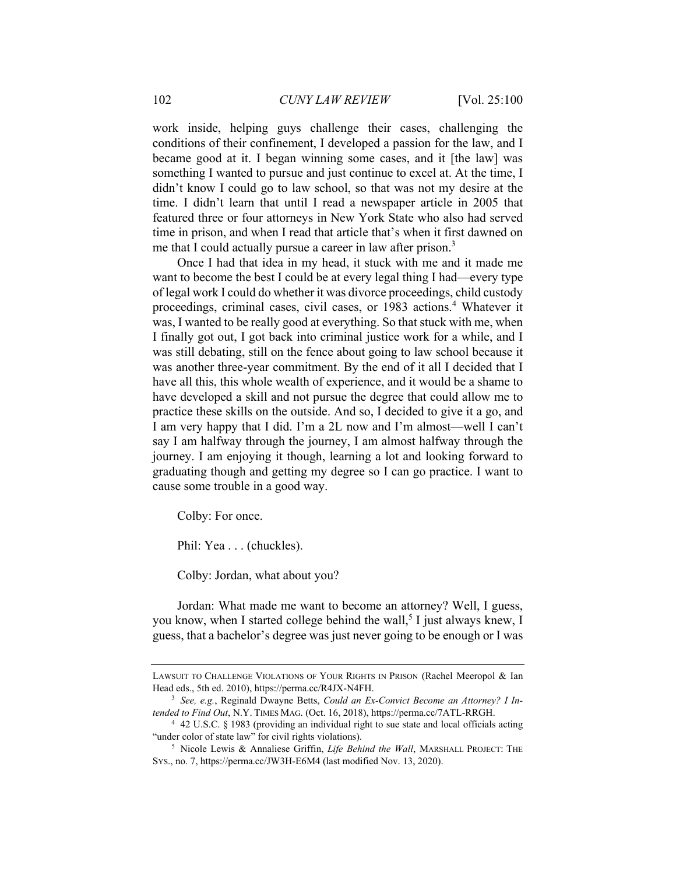work inside, helping guys challenge their cases, challenging the conditions of their confinement, I developed a passion for the law, and I became good at it. I began winning some cases, and it [the law] was something I wanted to pursue and just continue to excel at. At the time, I didn't know I could go to law school, so that was not my desire at the time. I didn't learn that until I read a newspaper article in 2005 that featured three or four attorneys in New York State who also had served time in prison, and when I read that article that's when it first dawned on me that I could actually pursue a career in law after prison.<sup>3</sup>

Once I had that idea in my head, it stuck with me and it made me want to become the best I could be at every legal thing I had—every type of legal work I could do whether it was divorce proceedings, child custody proceedings, criminal cases, civil cases, or 1983 actions.<sup>4</sup> Whatever it was, I wanted to be really good at everything. So that stuck with me, when I finally got out, I got back into criminal justice work for a while, and I was still debating, still on the fence about going to law school because it was another three-year commitment. By the end of it all I decided that I have all this, this whole wealth of experience, and it would be a shame to have developed a skill and not pursue the degree that could allow me to practice these skills on the outside. And so, I decided to give it a go, and I am very happy that I did. I'm a 2L now and I'm almost—well I can't say I am halfway through the journey, I am almost halfway through the journey. I am enjoying it though, learning a lot and looking forward to graduating though and getting my degree so I can go practice. I want to cause some trouble in a good way.

Colby: For once.

Phil: Yea . . . (chuckles).

Colby: Jordan, what about you?

Jordan: What made me want to become an attorney? Well, I guess, you know, when I started college behind the wall,<sup>5</sup> I just always knew, I guess, that a bachelor's degree was just never going to be enough or I was

LAWSUIT TO CHALLENGE VIOLATIONS OF YOUR RIGHTS IN PRISON (Rachel Meeropol & Ian Head eds., 5th ed. 2010), https://perma.cc/R4JX-N4FH.<br><sup>3</sup> *See, e.g.*, Reginald Dwayne Betts, *Could an Ex-Convict Become an Attorney? I In-*

*tended to Find Out*, N.Y. TIMES MAG. (Oct. 16, 2018), https://perma.cc/7ATL-RRGH.<br><sup>4</sup> 42 U.S.C. § 1983 (providing an individual right to sue state and local officials acting

<sup>&</sup>quot;under color of state law" for civil rights violations). 5 Nicole Lewis & Annaliese Griffin, *Life Behind the Wall*, MARSHALL PROJECT: THE

SYS., no. 7, https://perma.cc/JW3H-E6M4 (last modified Nov. 13, 2020).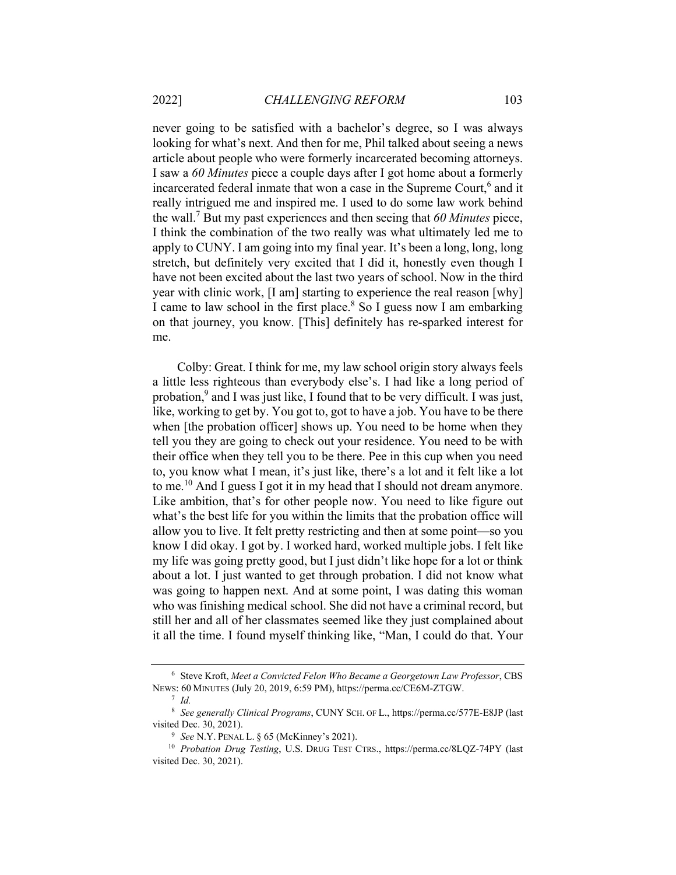never going to be satisfied with a bachelor's degree, so I was always looking for what's next. And then for me, Phil talked about seeing a news article about people who were formerly incarcerated becoming attorneys. I saw a *60 Minutes* piece a couple days after I got home about a formerly incarcerated federal inmate that won a case in the Supreme Court,<sup>6</sup> and it really intrigued me and inspired me. I used to do some law work behind the wall.<sup>7</sup> But my past experiences and then seeing that *60 Minutes* piece, I think the combination of the two really was what ultimately led me to apply to CUNY. I am going into my final year. It's been a long, long, long stretch, but definitely very excited that I did it, honestly even though I have not been excited about the last two years of school. Now in the third year with clinic work, [I am] starting to experience the real reason [why] I came to law school in the first place.<sup>8</sup> So I guess now I am embarking on that journey, you know. [This] definitely has re-sparked interest for me.

Colby: Great. I think for me, my law school origin story always feels a little less righteous than everybody else's. I had like a long period of probation,<sup>9</sup> and I was just like, I found that to be very difficult. I was just, like, working to get by. You got to, got to have a job. You have to be there when [the probation officer] shows up. You need to be home when they tell you they are going to check out your residence. You need to be with their office when they tell you to be there. Pee in this cup when you need to, you know what I mean, it's just like, there's a lot and it felt like a lot to me.<sup>10</sup> And I guess I got it in my head that I should not dream anymore. Like ambition, that's for other people now. You need to like figure out what's the best life for you within the limits that the probation office will allow you to live. It felt pretty restricting and then at some point—so you know I did okay. I got by. I worked hard, worked multiple jobs. I felt like my life was going pretty good, but I just didn't like hope for a lot or think about a lot. I just wanted to get through probation. I did not know what was going to happen next. And at some point, I was dating this woman who was finishing medical school. She did not have a criminal record, but still her and all of her classmates seemed like they just complained about it all the time. I found myself thinking like, "Man, I could do that. Your

<sup>6</sup> Steve Kroft, *Meet a Convicted Felon Who Became a Georgetown Law Professor*, CBS NEWS: 60 MINUTES (July 20, 2019, 6:59 PM), https://perma.cc/CE6M-ZTGW. 7 *Id.*

<sup>8</sup> *See generally Clinical Programs*, CUNY SCH. OF L., https://perma.cc/577E-E8JP (last

visited Dec. 30, 2021).<br><sup>9</sup> See N.Y. PENAL L. § 65 (McKinney's 2021).<br><sup>10</sup> *Probation Drug Testing*, U.S. DRUG TEST CTRS., https://perma.cc/8LQZ-74PY (last visited Dec. 30, 2021).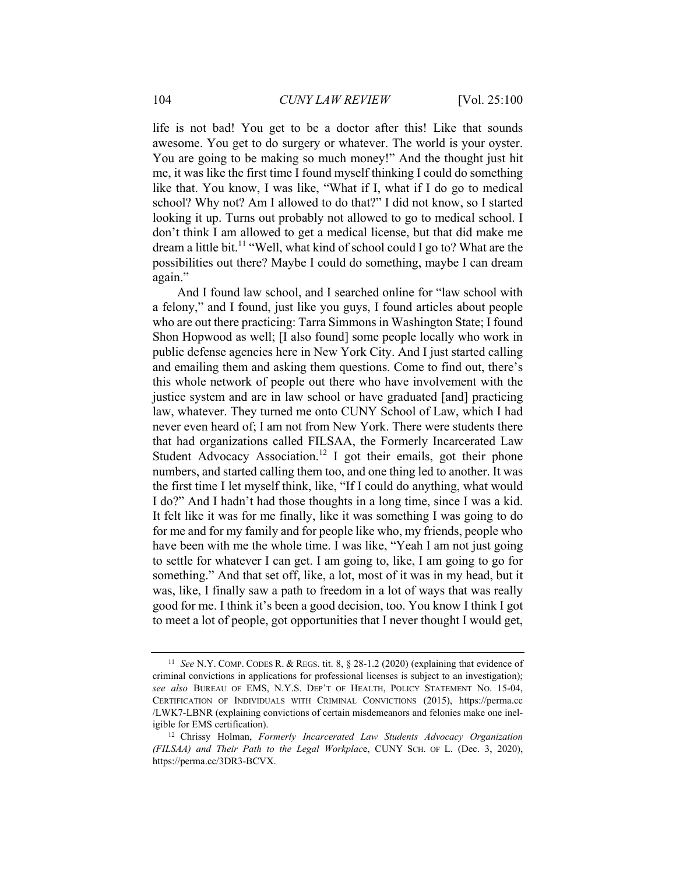life is not bad! You get to be a doctor after this! Like that sounds awesome. You get to do surgery or whatever. The world is your oyster. You are going to be making so much money!" And the thought just hit me, it was like the first time I found myself thinking I could do something like that. You know, I was like, "What if I, what if I do go to medical school? Why not? Am I allowed to do that?" I did not know, so I started looking it up. Turns out probably not allowed to go to medical school. I don't think I am allowed to get a medical license, but that did make me dream a little bit.<sup>11</sup> "Well, what kind of school could I go to? What are the possibilities out there? Maybe I could do something, maybe I can dream again."

And I found law school, and I searched online for "law school with a felony," and I found, just like you guys, I found articles about people who are out there practicing: Tarra Simmons in Washington State; I found Shon Hopwood as well; [I also found] some people locally who work in public defense agencies here in New York City. And I just started calling and emailing them and asking them questions. Come to find out, there's this whole network of people out there who have involvement with the justice system and are in law school or have graduated [and] practicing law, whatever. They turned me onto CUNY School of Law, which I had never even heard of; I am not from New York. There were students there that had organizations called FILSAA, the Formerly Incarcerated Law Student Advocacy Association.<sup>12</sup> I got their emails, got their phone numbers, and started calling them too, and one thing led to another. It was the first time I let myself think, like, "If I could do anything, what would I do?" And I hadn't had those thoughts in a long time, since I was a kid. It felt like it was for me finally, like it was something I was going to do for me and for my family and for people like who, my friends, people who have been with me the whole time. I was like, "Yeah I am not just going to settle for whatever I can get. I am going to, like, I am going to go for something." And that set off, like, a lot, most of it was in my head, but it was, like, I finally saw a path to freedom in a lot of ways that was really good for me. I think it's been a good decision, too. You know I think I got to meet a lot of people, got opportunities that I never thought I would get,

<sup>11</sup> *See* N.Y. COMP. CODES R. & REGS. tit. 8, § 28-1.2 (2020) (explaining that evidence of criminal convictions in applications for professional licenses is subject to an investigation); *see also* BUREAU OF EMS, N.Y.S. DEP'T OF HEALTH, POLICY STATEMENT NO. 15-04, CERTIFICATION OF INDIVIDUALS WITH CRIMINAL CONVICTIONS (2015), https://perma.cc /LWK7-LBNR (explaining convictions of certain misdemeanors and felonies make one ineligible for EMS certification). 12 Chrissy Holman, *Formerly Incarcerated Law Students Advocacy Organization* 

*<sup>(</sup>FILSAA) and Their Path to the Legal Workplac*e, CUNY SCH. OF L. (Dec. 3, 2020), https://perma.cc/3DR3-BCVX.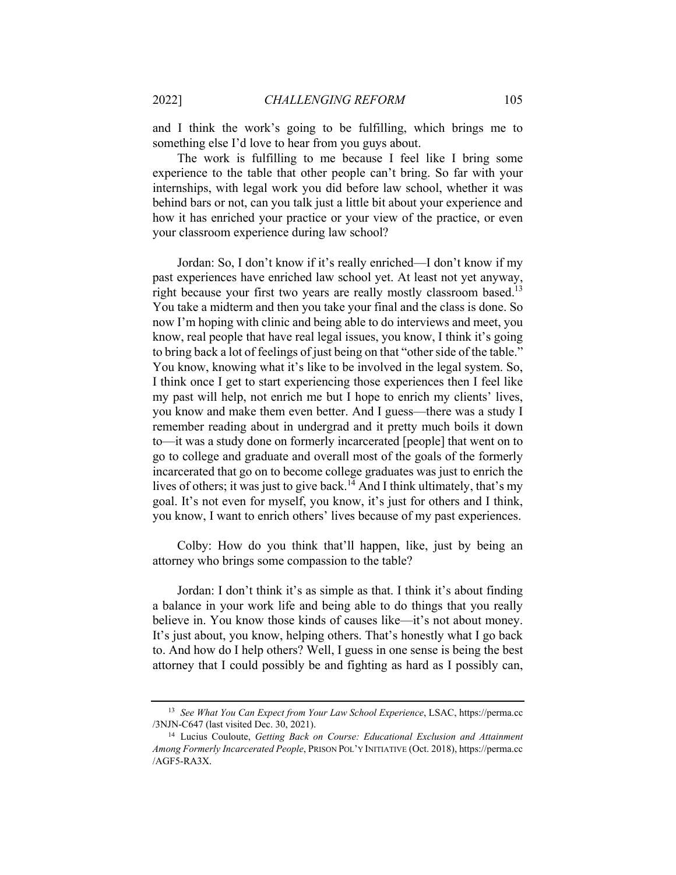and I think the work's going to be fulfilling, which brings me to something else I'd love to hear from you guys about.

The work is fulfilling to me because I feel like I bring some experience to the table that other people can't bring. So far with your internships, with legal work you did before law school, whether it was behind bars or not, can you talk just a little bit about your experience and how it has enriched your practice or your view of the practice, or even your classroom experience during law school?

Jordan: So, I don't know if it's really enriched—I don't know if my past experiences have enriched law school yet. At least not yet anyway, right because your first two years are really mostly classroom based.<sup>13</sup> You take a midterm and then you take your final and the class is done. So now I'm hoping with clinic and being able to do interviews and meet, you know, real people that have real legal issues, you know, I think it's going to bring back a lot of feelings of just being on that "other side of the table." You know, knowing what it's like to be involved in the legal system. So, I think once I get to start experiencing those experiences then I feel like my past will help, not enrich me but I hope to enrich my clients' lives, you know and make them even better. And I guess—there was a study I remember reading about in undergrad and it pretty much boils it down to—it was a study done on formerly incarcerated [people] that went on to go to college and graduate and overall most of the goals of the formerly incarcerated that go on to become college graduates was just to enrich the lives of others; it was just to give back.<sup>14</sup> And I think ultimately, that's my goal. It's not even for myself, you know, it's just for others and I think, you know, I want to enrich others' lives because of my past experiences.

Colby: How do you think that'll happen, like, just by being an attorney who brings some compassion to the table?

Jordan: I don't think it's as simple as that. I think it's about finding a balance in your work life and being able to do things that you really believe in. You know those kinds of causes like—it's not about money. It's just about, you know, helping others. That's honestly what I go back to. And how do I help others? Well, I guess in one sense is being the best attorney that I could possibly be and fighting as hard as I possibly can,

<sup>13</sup> *See What You Can Expect from Your Law School Experience*, LSAC, https://perma.cc /3NJN-C647 (last visited Dec. 30, 2021). 14 Lucius Couloute, *Getting Back on Course: Educational Exclusion and Attainment* 

*Among Formerly Incarcerated People*, PRISON POL'Y INITIATIVE (Oct. 2018), https://perma.cc /AGF5-RA3X.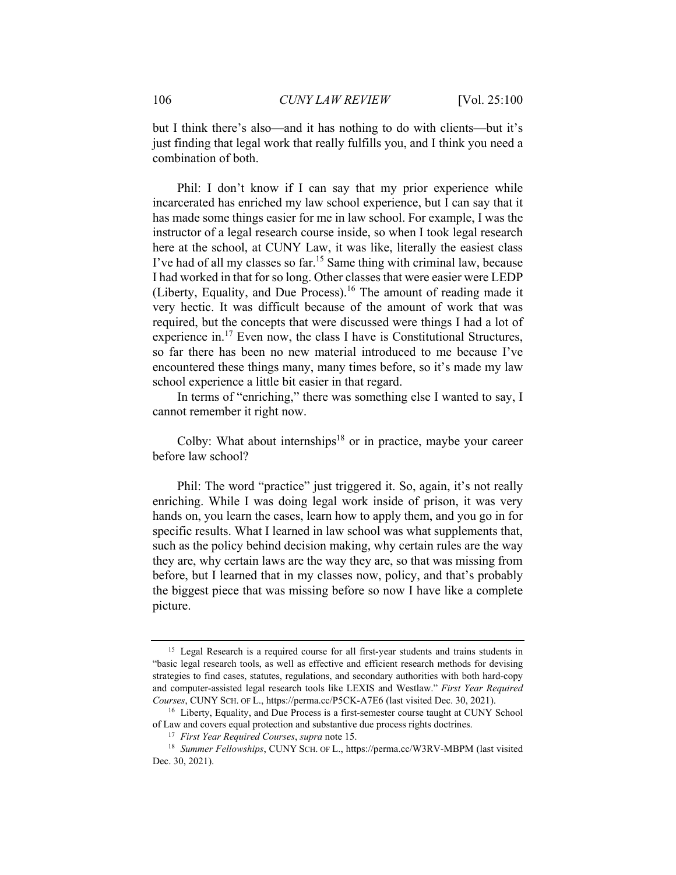but I think there's also—and it has nothing to do with clients—but it's just finding that legal work that really fulfills you, and I think you need a combination of both.

Phil: I don't know if I can say that my prior experience while incarcerated has enriched my law school experience, but I can say that it has made some things easier for me in law school. For example, I was the instructor of a legal research course inside, so when I took legal research here at the school, at CUNY Law, it was like, literally the easiest class I've had of all my classes so far.<sup>15</sup> Same thing with criminal law, because I had worked in that for so long. Other classes that were easier were LEDP (Liberty, Equality, and Due Process).<sup>16</sup> The amount of reading made it very hectic. It was difficult because of the amount of work that was required, but the concepts that were discussed were things I had a lot of experience in.17 Even now, the class I have is Constitutional Structures, so far there has been no new material introduced to me because I've encountered these things many, many times before, so it's made my law school experience a little bit easier in that regard.

In terms of "enriching," there was something else I wanted to say, I cannot remember it right now.

Colby: What about internships<sup>18</sup> or in practice, maybe your career before law school?

Phil: The word "practice" just triggered it. So, again, it's not really enriching. While I was doing legal work inside of prison, it was very hands on, you learn the cases, learn how to apply them, and you go in for specific results. What I learned in law school was what supplements that, such as the policy behind decision making, why certain rules are the way they are, why certain laws are the way they are, so that was missing from before, but I learned that in my classes now, policy, and that's probably the biggest piece that was missing before so now I have like a complete picture.

<sup>&</sup>lt;sup>15</sup> Legal Research is a required course for all first-year students and trains students in "basic legal research tools, as well as effective and efficient research methods for devising strategies to find cases, statutes, regulations, and secondary authorities with both hard-copy and computer-assisted legal research tools like LEXIS and Westlaw." *First Year Required Courses*, CUNY SCH. OF L., https://perma.cc/P5CK-A7E6 (last visited Dec. 30, 2021). 16 Liberty, Equality, and Due Process is a first-semester course taught at CUNY School

of Law and covers equal protection and substantive due process rights doctrines.<br><sup>17</sup> First Year Required Courses, supra note 15.<br><sup>18</sup> Summer Fellowships, CUNY SCH. OF L., https://perma.cc/W3RV-MBPM (last visited

Dec. 30, 2021).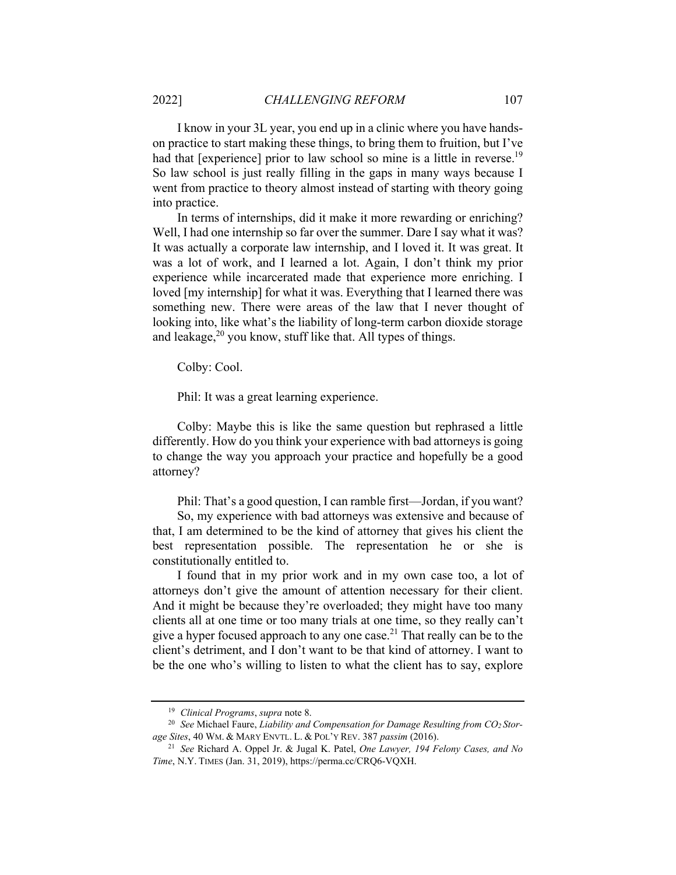I know in your 3L year, you end up in a clinic where you have handson practice to start making these things, to bring them to fruition, but I've had that [experience] prior to law school so mine is a little in reverse.<sup>19</sup> So law school is just really filling in the gaps in many ways because I went from practice to theory almost instead of starting with theory going into practice.

In terms of internships, did it make it more rewarding or enriching? Well, I had one internship so far over the summer. Dare I say what it was? It was actually a corporate law internship, and I loved it. It was great. It was a lot of work, and I learned a lot. Again, I don't think my prior experience while incarcerated made that experience more enriching. I loved [my internship] for what it was. Everything that I learned there was something new. There were areas of the law that I never thought of looking into, like what's the liability of long-term carbon dioxide storage and leakage, $^{20}$  you know, stuff like that. All types of things.

Colby: Cool.

Phil: It was a great learning experience.

Colby: Maybe this is like the same question but rephrased a little differently. How do you think your experience with bad attorneys is going to change the way you approach your practice and hopefully be a good attorney?

Phil: That's a good question, I can ramble first—Jordan, if you want?

So, my experience with bad attorneys was extensive and because of that, I am determined to be the kind of attorney that gives his client the best representation possible. The representation he or she is constitutionally entitled to.

I found that in my prior work and in my own case too, a lot of attorneys don't give the amount of attention necessary for their client. And it might be because they're overloaded; they might have too many clients all at one time or too many trials at one time, so they really can't give a hyper focused approach to any one case.<sup>21</sup> That really can be to the client's detriment, and I don't want to be that kind of attorney. I want to be the one who's willing to listen to what the client has to say, explore

<sup>&</sup>lt;sup>19</sup> Clinical Programs, supra note 8.<br><sup>20</sup> See Michael Faure, *Liability and Compensation for Damage Resulting from CO<sub>2</sub> Storage Sites*, 40 WM. & MARY ENVTL. L. & POL'Y REV. 387 *passim* (2016). 21 *See* Richard A. Oppel Jr. & Jugal K. Patel, *One Lawyer, 194 Felony Cases, and No* 

*Time*, N.Y. TIMES (Jan. 31, 2019), https://perma.cc/CRQ6-VQXH.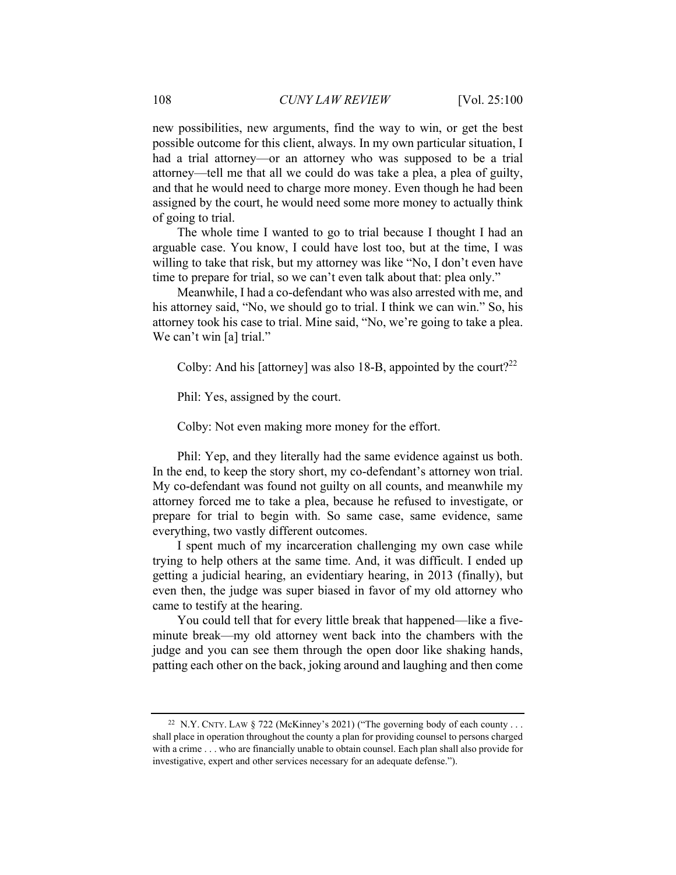new possibilities, new arguments, find the way to win, or get the best possible outcome for this client, always. In my own particular situation, I had a trial attorney—or an attorney who was supposed to be a trial attorney—tell me that all we could do was take a plea, a plea of guilty, and that he would need to charge more money. Even though he had been assigned by the court, he would need some more money to actually think of going to trial.

The whole time I wanted to go to trial because I thought I had an arguable case. You know, I could have lost too, but at the time, I was willing to take that risk, but my attorney was like "No, I don't even have time to prepare for trial, so we can't even talk about that: plea only."

Meanwhile, I had a co-defendant who was also arrested with me, and his attorney said, "No, we should go to trial. I think we can win." So, his attorney took his case to trial. Mine said, "No, we're going to take a plea. We can't win [a] trial."

Colby: And his [attorney] was also 18-B, appointed by the court?<sup>22</sup>

Phil: Yes, assigned by the court.

Colby: Not even making more money for the effort.

Phil: Yep, and they literally had the same evidence against us both. In the end, to keep the story short, my co-defendant's attorney won trial. My co-defendant was found not guilty on all counts, and meanwhile my attorney forced me to take a plea, because he refused to investigate, or prepare for trial to begin with. So same case, same evidence, same everything, two vastly different outcomes.

I spent much of my incarceration challenging my own case while trying to help others at the same time. And, it was difficult. I ended up getting a judicial hearing, an evidentiary hearing, in 2013 (finally), but even then, the judge was super biased in favor of my old attorney who came to testify at the hearing.

You could tell that for every little break that happened—like a fiveminute break—my old attorney went back into the chambers with the judge and you can see them through the open door like shaking hands, patting each other on the back, joking around and laughing and then come

<sup>&</sup>lt;sup>22</sup> N.Y. CNTY. LAW § 722 (McKinney's 2021) ("The governing body of each county . . . shall place in operation throughout the county a plan for providing counsel to persons charged with a crime . . . who are financially unable to obtain counsel. Each plan shall also provide for investigative, expert and other services necessary for an adequate defense.").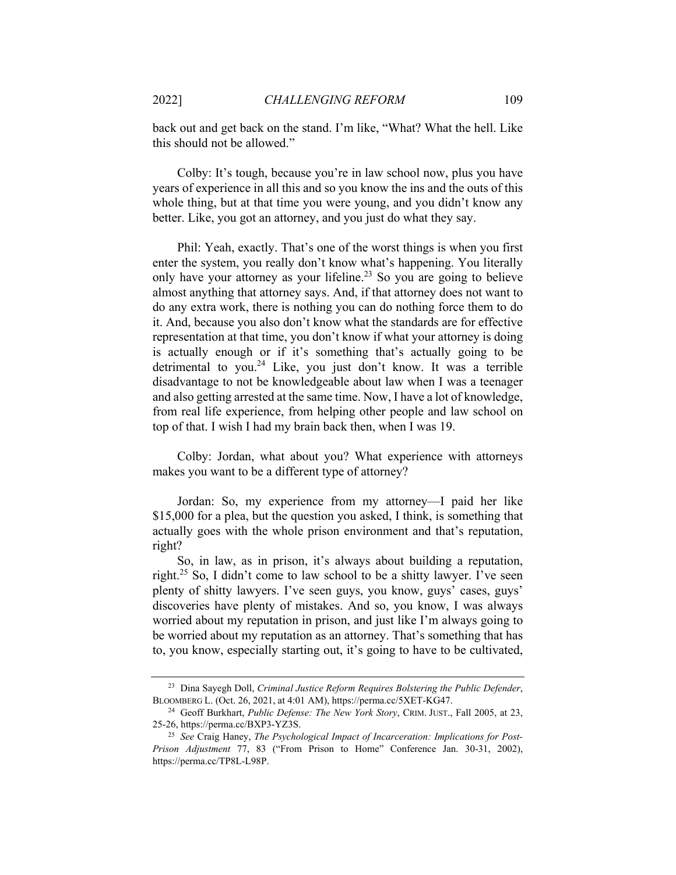back out and get back on the stand. I'm like, "What? What the hell. Like this should not be allowed."

Colby: It's tough, because you're in law school now, plus you have years of experience in all this and so you know the ins and the outs of this whole thing, but at that time you were young, and you didn't know any better. Like, you got an attorney, and you just do what they say.

Phil: Yeah, exactly. That's one of the worst things is when you first enter the system, you really don't know what's happening. You literally only have your attorney as your lifeline.<sup>23</sup> So you are going to believe almost anything that attorney says. And, if that attorney does not want to do any extra work, there is nothing you can do nothing force them to do it. And, because you also don't know what the standards are for effective representation at that time, you don't know if what your attorney is doing is actually enough or if it's something that's actually going to be detrimental to you.<sup>24</sup> Like, you just don't know. It was a terrible disadvantage to not be knowledgeable about law when I was a teenager and also getting arrested at the same time. Now, I have a lot of knowledge, from real life experience, from helping other people and law school on top of that. I wish I had my brain back then, when I was 19.

Colby: Jordan, what about you? What experience with attorneys makes you want to be a different type of attorney?

Jordan: So, my experience from my attorney—I paid her like \$15,000 for a plea, but the question you asked, I think, is something that actually goes with the whole prison environment and that's reputation, right?

So, in law, as in prison, it's always about building a reputation, right.<sup>25</sup> So, I didn't come to law school to be a shitty lawyer. I've seen plenty of shitty lawyers. I've seen guys, you know, guys' cases, guys' discoveries have plenty of mistakes. And so, you know, I was always worried about my reputation in prison, and just like I'm always going to be worried about my reputation as an attorney. That's something that has to, you know, especially starting out, it's going to have to be cultivated,

<sup>23</sup> Dina Sayegh Doll, *Criminal Justice Reform Requires Bolstering the Public Defender*, BLOOMBERG L. (Oct. 26, 2021, at 4:01 AM), https://perma.cc/5XET-KG47. 24 Geoff Burkhart, *Public Defense: The New York Story*, CRIM. JUST., Fall 2005, at 23,

<sup>25-26,</sup> https://perma.cc/BXP3-YZ3S. 25 *See* Craig Haney, *The Psychological Impact of Incarceration: Implications for Post-*

*Prison Adjustment* 77, 83 ("From Prison to Home" Conference Jan. 30-31, 2002), https://perma.cc/TP8L-L98P.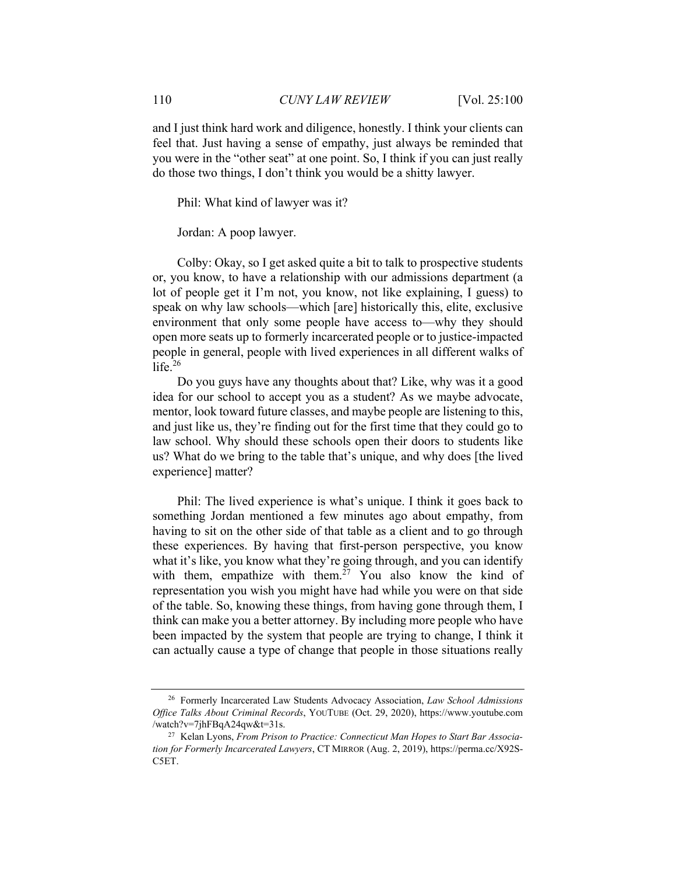and I just think hard work and diligence, honestly. I think your clients can feel that. Just having a sense of empathy, just always be reminded that you were in the "other seat" at one point. So, I think if you can just really do those two things, I don't think you would be a shitty lawyer.

Phil: What kind of lawyer was it?

Jordan: A poop lawyer.

Colby: Okay, so I get asked quite a bit to talk to prospective students or, you know, to have a relationship with our admissions department (a lot of people get it I'm not, you know, not like explaining, I guess) to speak on why law schools—which [are] historically this, elite, exclusive environment that only some people have access to—why they should open more seats up to formerly incarcerated people or to justice-impacted people in general, people with lived experiences in all different walks of life. $26$ 

Do you guys have any thoughts about that? Like, why was it a good idea for our school to accept you as a student? As we maybe advocate, mentor, look toward future classes, and maybe people are listening to this, and just like us, they're finding out for the first time that they could go to law school. Why should these schools open their doors to students like us? What do we bring to the table that's unique, and why does [the lived experience] matter?

Phil: The lived experience is what's unique. I think it goes back to something Jordan mentioned a few minutes ago about empathy, from having to sit on the other side of that table as a client and to go through these experiences. By having that first-person perspective, you know what it's like, you know what they're going through, and you can identify with them, empathize with them.<sup>27</sup> You also know the kind of representation you wish you might have had while you were on that side of the table. So, knowing these things, from having gone through them, I think can make you a better attorney. By including more people who have been impacted by the system that people are trying to change, I think it can actually cause a type of change that people in those situations really

<sup>26</sup> Formerly Incarcerated Law Students Advocacy Association, *Law School Admissions Office Talks About Criminal Records*, YOUTUBE (Oct. 29, 2020), https://www.youtube.com /watch?v=7jhFBqA24qw&t=31s. 27 Kelan Lyons, *From Prison to Practice: Connecticut Man Hopes to Start Bar Associa-*

*tion for Formerly Incarcerated Lawyers*, CT MIRROR (Aug. 2, 2019), https://perma.cc/X92S-C5ET.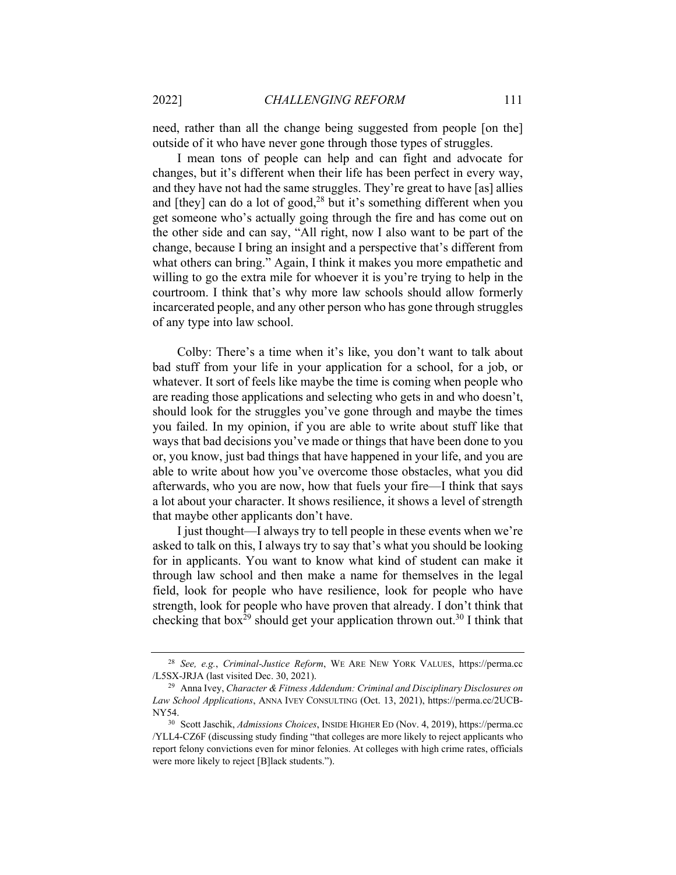need, rather than all the change being suggested from people [on the] outside of it who have never gone through those types of struggles.

I mean tons of people can help and can fight and advocate for changes, but it's different when their life has been perfect in every way, and they have not had the same struggles. They're great to have [as] allies and [they] can do a lot of good, $^{28}$  but it's something different when you get someone who's actually going through the fire and has come out on the other side and can say, "All right, now I also want to be part of the change, because I bring an insight and a perspective that's different from what others can bring." Again, I think it makes you more empathetic and willing to go the extra mile for whoever it is you're trying to help in the courtroom. I think that's why more law schools should allow formerly incarcerated people, and any other person who has gone through struggles of any type into law school.

Colby: There's a time when it's like, you don't want to talk about bad stuff from your life in your application for a school, for a job, or whatever. It sort of feels like maybe the time is coming when people who are reading those applications and selecting who gets in and who doesn't, should look for the struggles you've gone through and maybe the times you failed. In my opinion, if you are able to write about stuff like that ways that bad decisions you've made or things that have been done to you or, you know, just bad things that have happened in your life, and you are able to write about how you've overcome those obstacles, what you did afterwards, who you are now, how that fuels your fire—I think that says a lot about your character. It shows resilience, it shows a level of strength that maybe other applicants don't have.

I just thought—I always try to tell people in these events when we're asked to talk on this, I always try to say that's what you should be looking for in applicants. You want to know what kind of student can make it through law school and then make a name for themselves in the legal field, look for people who have resilience, look for people who have strength, look for people who have proven that already. I don't think that checking that box<sup>29</sup> should get your application thrown out.<sup>30</sup> I think that

<sup>28</sup> *See, e.g.*, *Criminal-Justice Reform*, WE ARE NEW YORK VALUES, https://perma.cc /L5SX-JRJA (last visited Dec. 30, 2021). 29 Anna Ivey, *Character & Fitness Addendum: Criminal and Disciplinary Disclosures on* 

*Law School Applications*, ANNA IVEY CONSULTING (Oct. 13, 2021), https://perma.cc/2UCB-NY54. 30 Scott Jaschik, *Admissions Choices*, INSIDE HIGHER ED (Nov. 4, 2019), https://perma.cc

<sup>/</sup>YLL4-CZ6F (discussing study finding "that colleges are more likely to reject applicants who report felony convictions even for minor felonies. At colleges with high crime rates, officials were more likely to reject [B]lack students.").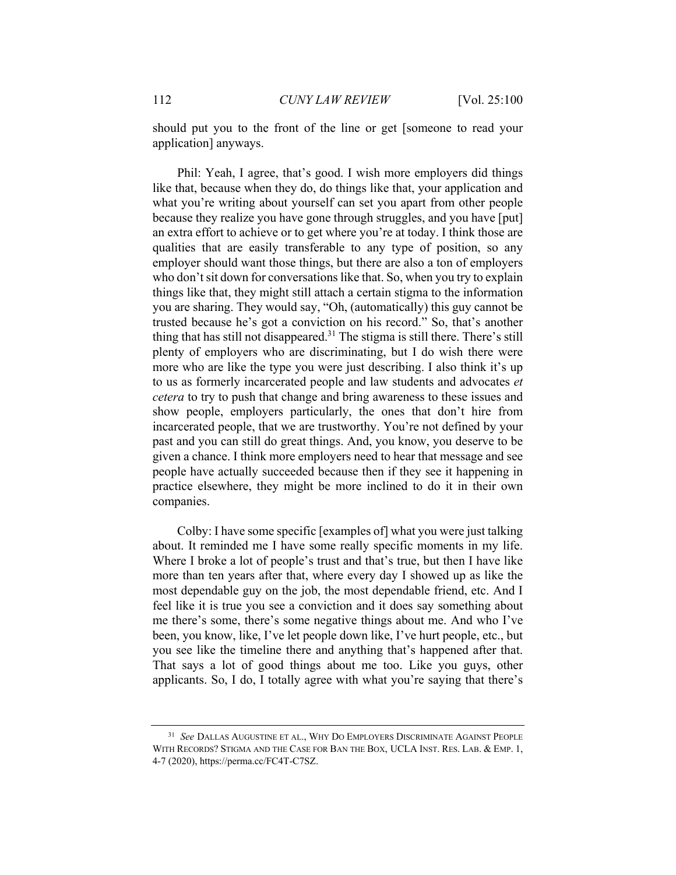should put you to the front of the line or get [someone to read your application] anyways.

Phil: Yeah, I agree, that's good. I wish more employers did things like that, because when they do, do things like that, your application and what you're writing about yourself can set you apart from other people because they realize you have gone through struggles, and you have [put] an extra effort to achieve or to get where you're at today. I think those are qualities that are easily transferable to any type of position, so any employer should want those things, but there are also a ton of employers who don't sit down for conversations like that. So, when you try to explain things like that, they might still attach a certain stigma to the information you are sharing. They would say, "Oh, (automatically) this guy cannot be trusted because he's got a conviction on his record." So, that's another thing that has still not disappeared.<sup>31</sup> The stigma is still there. There's still plenty of employers who are discriminating, but I do wish there were more who are like the type you were just describing. I also think it's up to us as formerly incarcerated people and law students and advocates *et cetera* to try to push that change and bring awareness to these issues and show people, employers particularly, the ones that don't hire from incarcerated people, that we are trustworthy. You're not defined by your past and you can still do great things. And, you know, you deserve to be given a chance. I think more employers need to hear that message and see people have actually succeeded because then if they see it happening in practice elsewhere, they might be more inclined to do it in their own companies.

Colby: I have some specific [examples of] what you were just talking about. It reminded me I have some really specific moments in my life. Where I broke a lot of people's trust and that's true, but then I have like more than ten years after that, where every day I showed up as like the most dependable guy on the job, the most dependable friend, etc. And I feel like it is true you see a conviction and it does say something about me there's some, there's some negative things about me. And who I've been, you know, like, I've let people down like, I've hurt people, etc., but you see like the timeline there and anything that's happened after that. That says a lot of good things about me too. Like you guys, other applicants. So, I do, I totally agree with what you're saying that there's

<sup>31</sup> *See* DALLAS AUGUSTINE ET AL., WHY DO EMPLOYERS DISCRIMINATE AGAINST PEOPLE WITH RECORDS? STIGMA AND THE CASE FOR BAN THE BOX, UCLA INST. RES. LAB. & EMP. 1, 4-7 (2020), https://perma.cc/FC4T-C7SZ.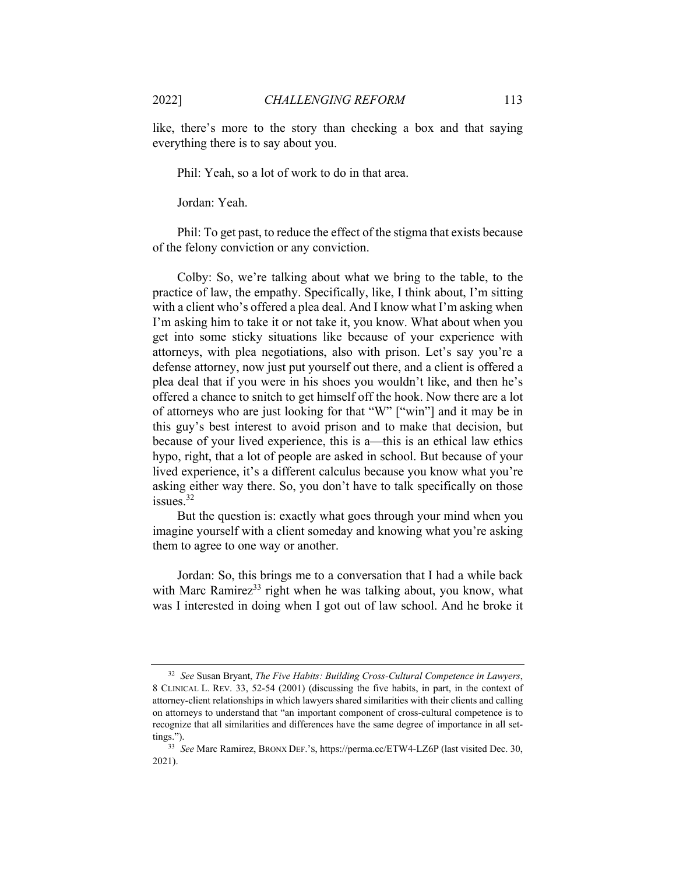like, there's more to the story than checking a box and that saying everything there is to say about you.

Phil: Yeah, so a lot of work to do in that area.

Jordan: Yeah.

Phil: To get past, to reduce the effect of the stigma that exists because of the felony conviction or any conviction.

Colby: So, we're talking about what we bring to the table, to the practice of law, the empathy. Specifically, like, I think about, I'm sitting with a client who's offered a plea deal. And I know what I'm asking when I'm asking him to take it or not take it, you know. What about when you get into some sticky situations like because of your experience with attorneys, with plea negotiations, also with prison. Let's say you're a defense attorney, now just put yourself out there, and a client is offered a plea deal that if you were in his shoes you wouldn't like, and then he's offered a chance to snitch to get himself off the hook. Now there are a lot of attorneys who are just looking for that "W" ["win"] and it may be in this guy's best interest to avoid prison and to make that decision, but because of your lived experience, this is a—this is an ethical law ethics hypo, right, that a lot of people are asked in school. But because of your lived experience, it's a different calculus because you know what you're asking either way there. So, you don't have to talk specifically on those issues.32

But the question is: exactly what goes through your mind when you imagine yourself with a client someday and knowing what you're asking them to agree to one way or another.

Jordan: So, this brings me to a conversation that I had a while back with Marc Ramirez<sup>33</sup> right when he was talking about, you know, what was I interested in doing when I got out of law school. And he broke it

<sup>32</sup> *See* Susan Bryant, *The Five Habits: Building Cross-Cultural Competence in Lawyers*, 8 CLINICAL L. REV. 33, 52-54 (2001) (discussing the five habits, in part, in the context of attorney-client relationships in which lawyers shared similarities with their clients and calling on attorneys to understand that "an important component of cross-cultural competence is to recognize that all similarities and differences have the same degree of importance in all set-

tings."). 33 *See* Marc Ramirez, BRONX DEF.'S, https://perma.cc/ETW4-LZ6P (last visited Dec. 30, 2021).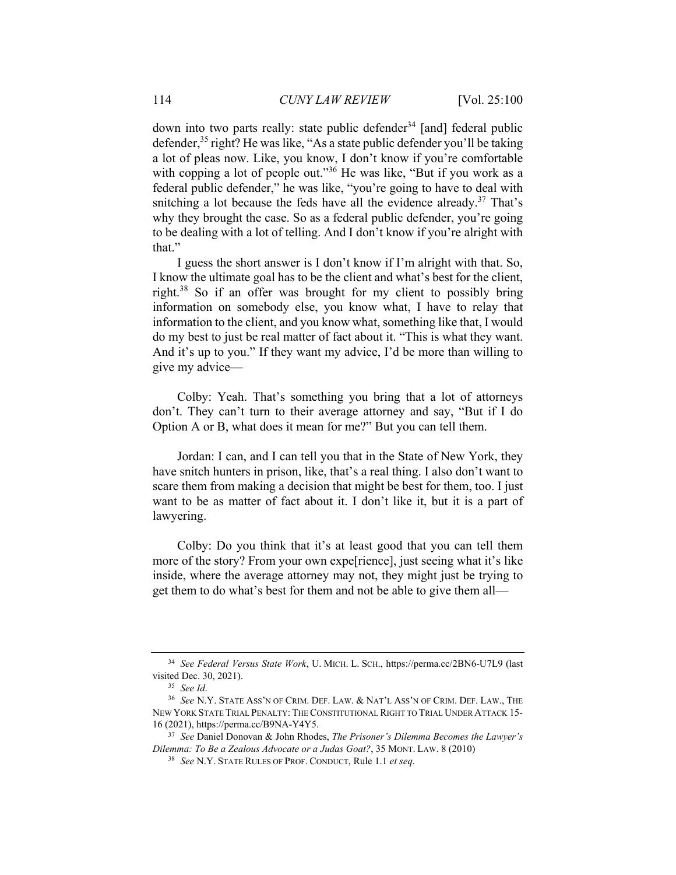down into two parts really: state public defender<sup>34</sup> [and] federal public defender,35 right? He was like, "As a state public defender you'll be taking a lot of pleas now. Like, you know, I don't know if you're comfortable with copping a lot of people out."<sup>36</sup> He was like, "But if you work as a federal public defender," he was like, "you're going to have to deal with snitching a lot because the feds have all the evidence already.<sup>37</sup> That's why they brought the case. So as a federal public defender, you're going to be dealing with a lot of telling. And I don't know if you're alright with that."

I guess the short answer is I don't know if I'm alright with that. So, I know the ultimate goal has to be the client and what's best for the client, right.38 So if an offer was brought for my client to possibly bring information on somebody else, you know what, I have to relay that information to the client, and you know what, something like that, I would do my best to just be real matter of fact about it. "This is what they want. And it's up to you." If they want my advice, I'd be more than willing to give my advice—

Colby: Yeah. That's something you bring that a lot of attorneys don't. They can't turn to their average attorney and say, "But if I do Option A or B, what does it mean for me?" But you can tell them.

Jordan: I can, and I can tell you that in the State of New York, they have snitch hunters in prison, like, that's a real thing. I also don't want to scare them from making a decision that might be best for them, too. I just want to be as matter of fact about it. I don't like it, but it is a part of lawyering.

Colby: Do you think that it's at least good that you can tell them more of the story? From your own expe[rience], just seeing what it's like inside, where the average attorney may not, they might just be trying to get them to do what's best for them and not be able to give them all—

<sup>34</sup> *See Federal Versus State Work*, U. MICH. L. SCH., https://perma.cc/2BN6-U7L9 (last visited Dec. 30, 2021). 35 *See Id*. 36 *See* N.Y. STATE ASS'N OF CRIM. DEF. LAW. & NAT'L ASS'N OF CRIM. DEF. LAW., THE

NEW YORK STATE TRIAL PENALTY: THE CONSTITUTIONAL RIGHT TO TRIAL UNDER ATTACK 15- 16 (2021), https://perma.cc/B9NA-Y4Y5. 37 *See* Daniel Donovan & John Rhodes, *The Prisoner's Dilemma Becomes the Lawyer's* 

*Dilemma: To Be a Zealous Advocate or a Judas Goat?*, 35 MONT. LAW. 8 (2010) 38 *See* N.Y. STATE RULES OF PROF. CONDUCT, Rule 1.1 *et seq*.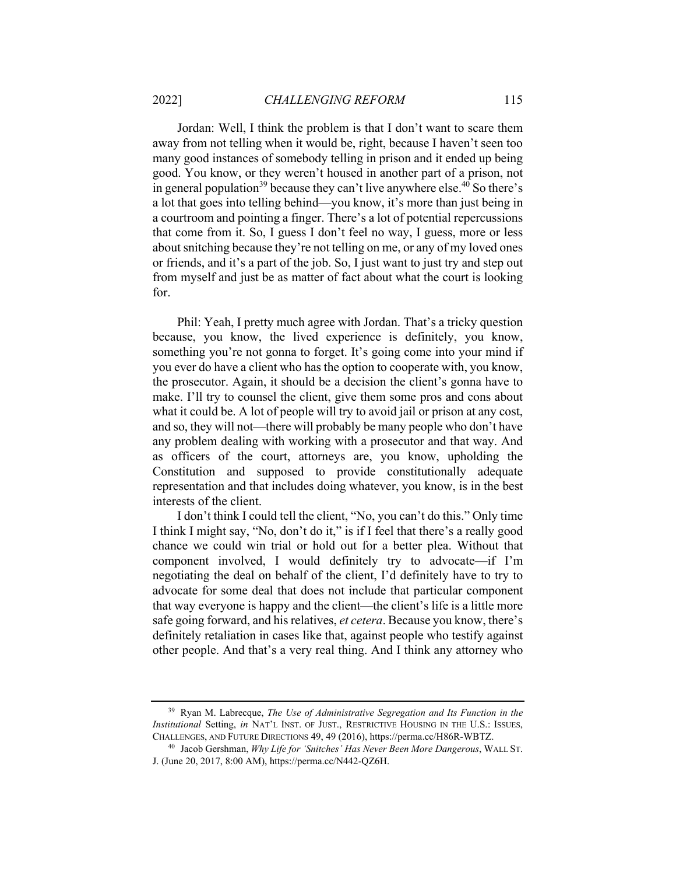Jordan: Well, I think the problem is that I don't want to scare them away from not telling when it would be, right, because I haven't seen too many good instances of somebody telling in prison and it ended up being good. You know, or they weren't housed in another part of a prison, not in general population<sup>39</sup> because they can't live anywhere else.<sup>40</sup> So there's a lot that goes into telling behind—you know, it's more than just being in a courtroom and pointing a finger. There's a lot of potential repercussions that come from it. So, I guess I don't feel no way, I guess, more or less about snitching because they're not telling on me, or any of my loved ones or friends, and it's a part of the job. So, I just want to just try and step out from myself and just be as matter of fact about what the court is looking for.

Phil: Yeah, I pretty much agree with Jordan. That's a tricky question because, you know, the lived experience is definitely, you know, something you're not gonna to forget. It's going come into your mind if you ever do have a client who has the option to cooperate with, you know, the prosecutor. Again, it should be a decision the client's gonna have to make. I'll try to counsel the client, give them some pros and cons about what it could be. A lot of people will try to avoid jail or prison at any cost, and so, they will not—there will probably be many people who don't have any problem dealing with working with a prosecutor and that way. And as officers of the court, attorneys are, you know, upholding the Constitution and supposed to provide constitutionally adequate representation and that includes doing whatever, you know, is in the best interests of the client.

I don't think I could tell the client, "No, you can't do this." Only time I think I might say, "No, don't do it," is if I feel that there's a really good chance we could win trial or hold out for a better plea. Without that component involved, I would definitely try to advocate—if I'm negotiating the deal on behalf of the client, I'd definitely have to try to advocate for some deal that does not include that particular component that way everyone is happy and the client—the client's life is a little more safe going forward, and his relatives, *et cetera*. Because you know, there's definitely retaliation in cases like that, against people who testify against other people. And that's a very real thing. And I think any attorney who

<sup>39</sup> Ryan M. Labrecque, *The Use of Administrative Segregation and Its Function in the Institutional* Setting, *in* NAT'L INST. OF JUST., RESTRICTIVE HOUSING IN THE U.S.: ISSUES, CHALLENGES, AND FUTURE DIRECTIONS 49, 49 (2016), https://perma.cc/H86R-WBTZ. 40 Jacob Gershman, *Why Life for 'Snitches' Has Never Been More Dangerous*, WALL ST.

J. (June 20, 2017, 8:00 AM), https://perma.cc/N442-QZ6H.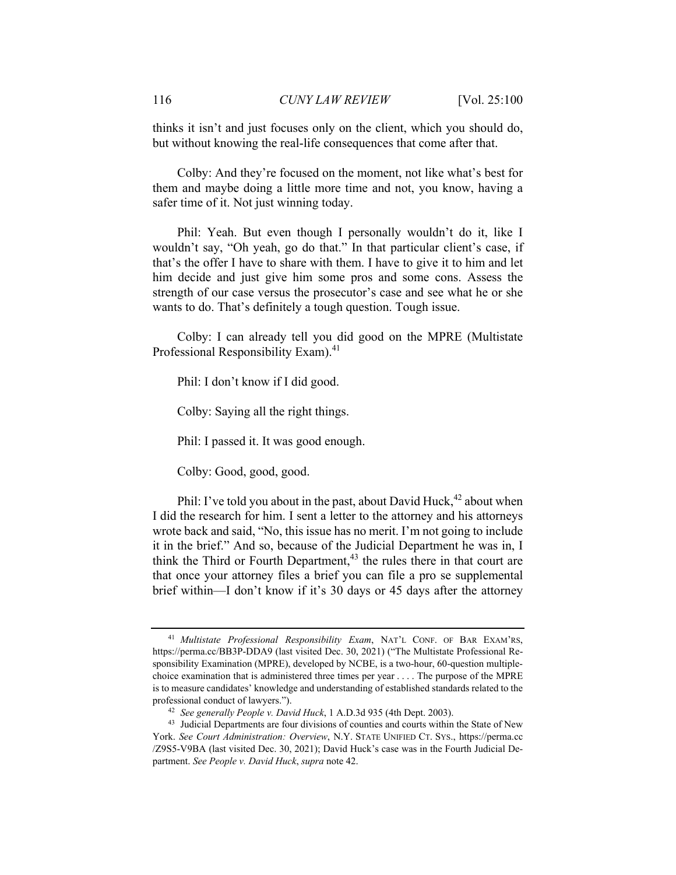thinks it isn't and just focuses only on the client, which you should do, but without knowing the real-life consequences that come after that.

Colby: And they're focused on the moment, not like what's best for them and maybe doing a little more time and not, you know, having a safer time of it. Not just winning today.

Phil: Yeah. But even though I personally wouldn't do it, like I wouldn't say, "Oh yeah, go do that." In that particular client's case, if that's the offer I have to share with them. I have to give it to him and let him decide and just give him some pros and some cons. Assess the strength of our case versus the prosecutor's case and see what he or she wants to do. That's definitely a tough question. Tough issue.

Colby: I can already tell you did good on the MPRE (Multistate Professional Responsibility Exam).<sup>41</sup>

Phil: I don't know if I did good.

Colby: Saying all the right things.

Phil: I passed it. It was good enough.

Colby: Good, good, good.

Phil: I've told you about in the past, about David Huck,  $42$  about when I did the research for him. I sent a letter to the attorney and his attorneys wrote back and said, "No, this issue has no merit. I'm not going to include it in the brief." And so, because of the Judicial Department he was in, I think the Third or Fourth Department, $43$  the rules there in that court are that once your attorney files a brief you can file a pro se supplemental brief within—I don't know if it's 30 days or 45 days after the attorney

<sup>41</sup> *Multistate Professional Responsibility Exam*, NAT'L CONF. OF BAR EXAM'RS, https://perma.cc/BB3P-DDA9 (last visited Dec. 30, 2021) ("The Multistate Professional Responsibility Examination (MPRE), developed by NCBE, is a two-hour, 60-question multiplechoice examination that is administered three times per year . . . . The purpose of the MPRE is to measure candidates' knowledge and understanding of established standards related to the professional conduct of lawyers."). 42 *See generally People v. David Huck*, 1 A.D.3d 935 (4th Dept. 2003). 43 Judicial Departments are four divisions of counties and courts within the State of New

York. *See Court Administration: Overview*, N.Y. STATE UNIFIED CT. SYS., https://perma.cc /Z9S5-V9BA (last visited Dec. 30, 2021); David Huck's case was in the Fourth Judicial Department. *See People v. David Huck*, *supra* note 42.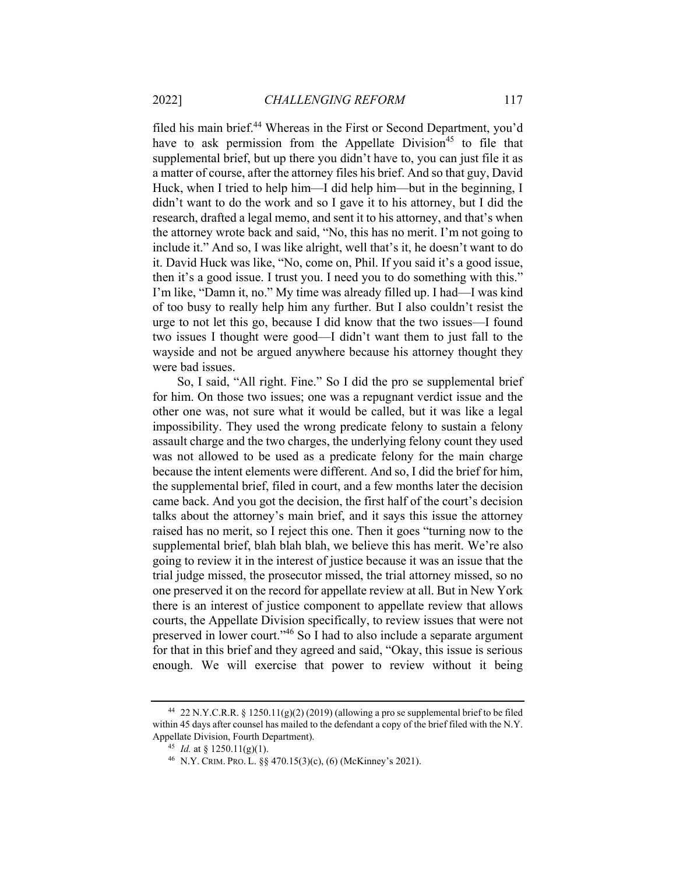filed his main brief.<sup>44</sup> Whereas in the First or Second Department, you'd have to ask permission from the Appellate Division<sup>45</sup> to file that supplemental brief, but up there you didn't have to, you can just file it as a matter of course, after the attorney files his brief. And so that guy, David Huck, when I tried to help him—I did help him—but in the beginning, I didn't want to do the work and so I gave it to his attorney, but I did the research, drafted a legal memo, and sent it to his attorney, and that's when the attorney wrote back and said, "No, this has no merit. I'm not going to include it." And so, I was like alright, well that's it, he doesn't want to do it. David Huck was like, "No, come on, Phil. If you said it's a good issue, then it's a good issue. I trust you. I need you to do something with this." I'm like, "Damn it, no." My time was already filled up. I had—I was kind of too busy to really help him any further. But I also couldn't resist the urge to not let this go, because I did know that the two issues—I found two issues I thought were good—I didn't want them to just fall to the wayside and not be argued anywhere because his attorney thought they were bad issues.

So, I said, "All right. Fine." So I did the pro se supplemental brief for him. On those two issues; one was a repugnant verdict issue and the other one was, not sure what it would be called, but it was like a legal impossibility. They used the wrong predicate felony to sustain a felony assault charge and the two charges, the underlying felony count they used was not allowed to be used as a predicate felony for the main charge because the intent elements were different. And so, I did the brief for him, the supplemental brief, filed in court, and a few months later the decision came back. And you got the decision, the first half of the court's decision talks about the attorney's main brief, and it says this issue the attorney raised has no merit, so I reject this one. Then it goes "turning now to the supplemental brief, blah blah blah, we believe this has merit. We're also going to review it in the interest of justice because it was an issue that the trial judge missed, the prosecutor missed, the trial attorney missed, so no one preserved it on the record for appellate review at all. But in New York there is an interest of justice component to appellate review that allows courts, the Appellate Division specifically, to review issues that were not preserved in lower court."46 So I had to also include a separate argument for that in this brief and they agreed and said, "Okay, this issue is serious enough. We will exercise that power to review without it being

<sup>&</sup>lt;sup>44</sup> 22 N.Y.C.R.R. § 1250.11(g)(2) (2019) (allowing a pro se supplemental brief to be filed within 45 days after counsel has mailed to the defendant a copy of the brief filed with the N.Y. Appellate Division, Fourth Department).<br><sup>45</sup> *Id.* at § 1250.11(g)(1).<br><sup>46</sup> N.Y. CRIM. PRO. L. §§ 470.15(3)(c), (6) (McKinney's 2021).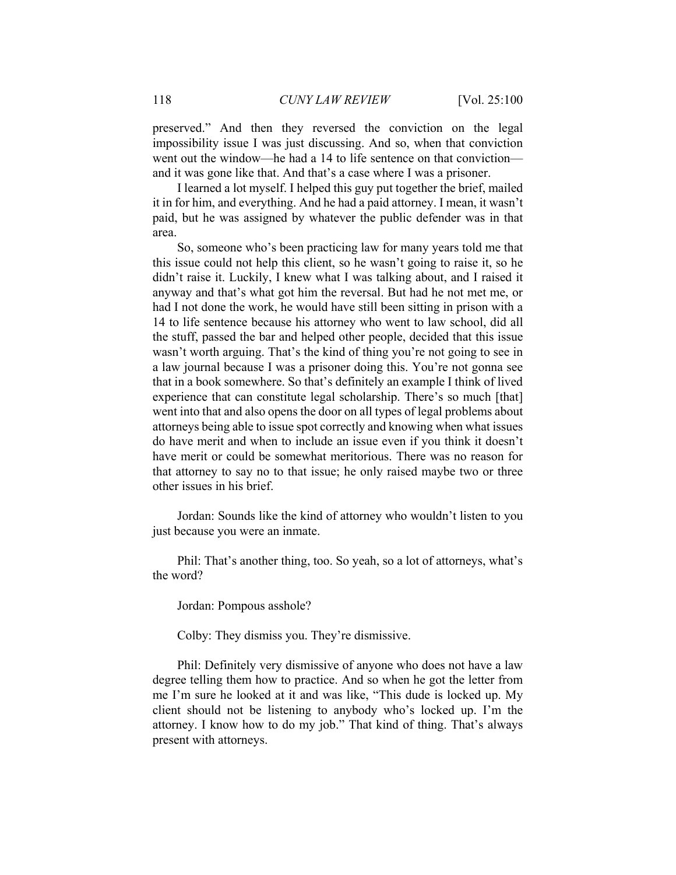preserved." And then they reversed the conviction on the legal impossibility issue I was just discussing. And so, when that conviction went out the window—he had a 14 to life sentence on that conviction and it was gone like that. And that's a case where I was a prisoner.

I learned a lot myself. I helped this guy put together the brief, mailed it in for him, and everything. And he had a paid attorney. I mean, it wasn't paid, but he was assigned by whatever the public defender was in that area.

So, someone who's been practicing law for many years told me that this issue could not help this client, so he wasn't going to raise it, so he didn't raise it. Luckily, I knew what I was talking about, and I raised it anyway and that's what got him the reversal. But had he not met me, or had I not done the work, he would have still been sitting in prison with a 14 to life sentence because his attorney who went to law school, did all the stuff, passed the bar and helped other people, decided that this issue wasn't worth arguing. That's the kind of thing you're not going to see in a law journal because I was a prisoner doing this. You're not gonna see that in a book somewhere. So that's definitely an example I think of lived experience that can constitute legal scholarship. There's so much [that] went into that and also opens the door on all types of legal problems about attorneys being able to issue spot correctly and knowing when what issues do have merit and when to include an issue even if you think it doesn't have merit or could be somewhat meritorious. There was no reason for that attorney to say no to that issue; he only raised maybe two or three other issues in his brief.

Jordan: Sounds like the kind of attorney who wouldn't listen to you just because you were an inmate.

Phil: That's another thing, too. So yeah, so a lot of attorneys, what's the word?

Jordan: Pompous asshole?

Colby: They dismiss you. They're dismissive.

Phil: Definitely very dismissive of anyone who does not have a law degree telling them how to practice. And so when he got the letter from me I'm sure he looked at it and was like, "This dude is locked up. My client should not be listening to anybody who's locked up. I'm the attorney. I know how to do my job." That kind of thing. That's always present with attorneys.